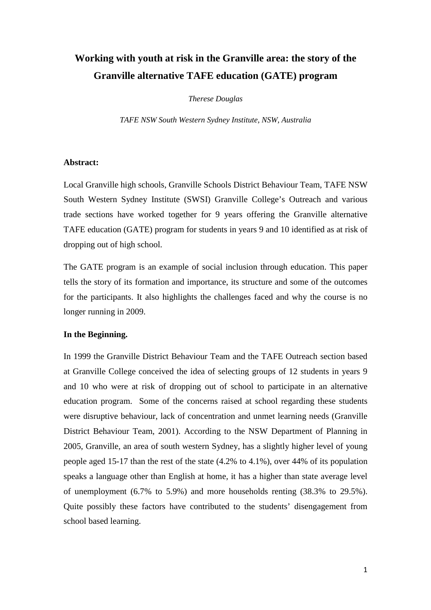# **Working with youth at risk in the Granville area: the story of the Granville alternative TAFE education (GATE) program**

*Therese Douglas* 

*TAFE NSW South Western Sydney Institute, NSW, Australia* 

## **Abstract:**

Local Granville high schools, Granville Schools District Behaviour Team, TAFE NSW South Western Sydney Institute (SWSI) Granville College's Outreach and various trade sections have worked together for 9 years offering the Granville alternative TAFE education (GATE) program for students in years 9 and 10 identified as at risk of dropping out of high school.

The GATE program is an example of social inclusion through education. This paper tells the story of its formation and importance, its structure and some of the outcomes for the participants. It also highlights the challenges faced and why the course is no longer running in 2009.

## **In the Beginning.**

In 1999 the Granville District Behaviour Team and the TAFE Outreach section based at Granville College conceived the idea of selecting groups of 12 students in years 9 and 10 who were at risk of dropping out of school to participate in an alternative education program. Some of the concerns raised at school regarding these students were disruptive behaviour, lack of concentration and unmet learning needs (Granville District Behaviour Team, 2001). According to the NSW Department of Planning in 2005, Granville, an area of south western Sydney, has a slightly higher level of young people aged 15-17 than the rest of the state (4.2% to 4.1%), over 44% of its population speaks a language other than English at home, it has a higher than state average level of unemployment (6.7% to 5.9%) and more households renting (38.3% to 29.5%). Quite possibly these factors have contributed to the students' disengagement from school based learning.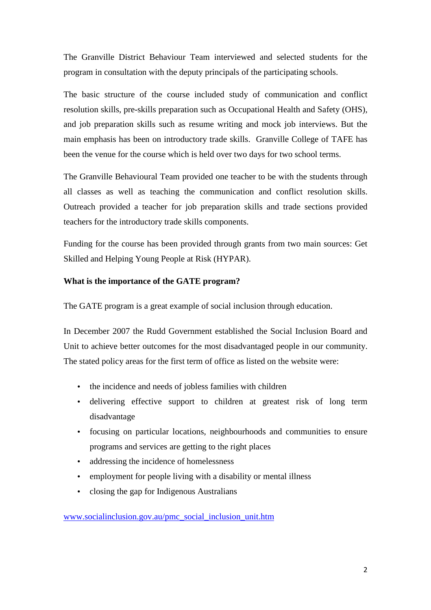The Granville District Behaviour Team interviewed and selected students for the program in consultation with the deputy principals of the participating schools.

The basic structure of the course included study of communication and conflict resolution skills, pre-skills preparation such as Occupational Health and Safety (OHS), and job preparation skills such as resume writing and mock job interviews. But the main emphasis has been on introductory trade skills. Granville College of TAFE has been the venue for the course which is held over two days for two school terms.

The Granville Behavioural Team provided one teacher to be with the students through all classes as well as teaching the communication and conflict resolution skills. Outreach provided a teacher for job preparation skills and trade sections provided teachers for the introductory trade skills components.

Funding for the course has been provided through grants from two main sources: Get Skilled and Helping Young People at Risk (HYPAR).

# **What is the importance of the GATE program?**

The GATE program is a great example of social inclusion through education.

In December 2007 the Rudd Government established the Social Inclusion Board and Unit to achieve better outcomes for the most disadvantaged people in our community. The stated policy areas for the first term of office as listed on the website were:

- the incidence and needs of jobless families with children
- delivering effective support to children at greatest risk of long term disadvantage
- focusing on particular locations, neighbourhoods and communities to ensure programs and services are getting to the right places
- addressing the incidence of homelessness
- employment for people living with a disability or mental illness
- closing the gap for Indigenous Australians

# www.socialinclusion.gov.au/pmc\_social\_inclusion\_unit.htm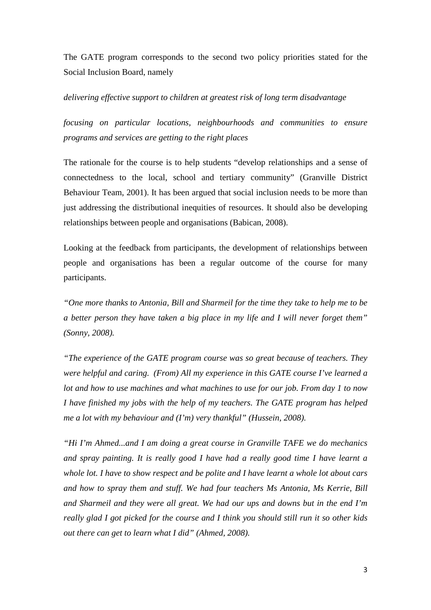The GATE program corresponds to the second two policy priorities stated for the Social Inclusion Board, namely

# *delivering effective support to children at greatest risk of long term disadvantage*

*focusing on particular locations, neighbourhoods and communities to ensure programs and services are getting to the right places* 

The rationale for the course is to help students "develop relationships and a sense of connectedness to the local, school and tertiary community" (Granville District Behaviour Team, 2001). It has been argued that social inclusion needs to be more than just addressing the distributional inequities of resources. It should also be developing relationships between people and organisations (Babican, 2008).

Looking at the feedback from participants, the development of relationships between people and organisations has been a regular outcome of the course for many participants.

*"One more thanks to Antonia, Bill and Sharmeil for the time they take to help me to be a better person they have taken a big place in my life and I will never forget them" (Sonny, 2008).* 

*"The experience of the GATE program course was so great because of teachers. They were helpful and caring. (From) All my experience in this GATE course I've learned a lot and how to use machines and what machines to use for our job. From day 1 to now I have finished my jobs with the help of my teachers. The GATE program has helped me a lot with my behaviour and (I'm) very thankful" (Hussein, 2008).* 

*"Hi I'm Ahmed...and I am doing a great course in Granville TAFE we do mechanics and spray painting. It is really good I have had a really good time I have learnt a whole lot. I have to show respect and be polite and I have learnt a whole lot about cars and how to spray them and stuff. We had four teachers Ms Antonia, Ms Kerrie, Bill and Sharmeil and they were all great. We had our ups and downs but in the end I'm really glad I got picked for the course and I think you should still run it so other kids out there can get to learn what I did" (Ahmed, 2008).*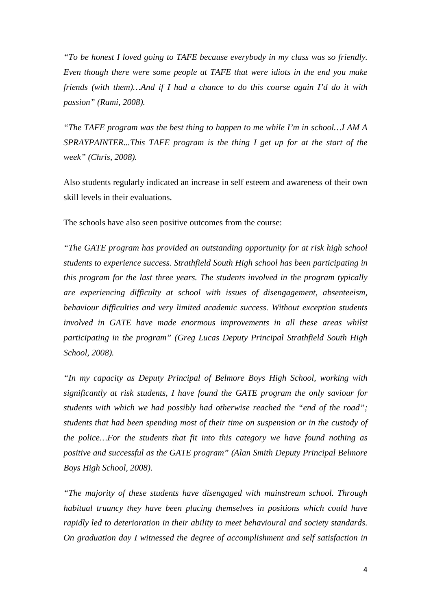*"To be honest I loved going to TAFE because everybody in my class was so friendly. Even though there were some people at TAFE that were idiots in the end you make friends (with them)…And if I had a chance to do this course again I'd do it with passion" (Rami, 2008).* 

*"The TAFE program was the best thing to happen to me while I'm in school…I AM A SPRAYPAINTER...This TAFE program is the thing I get up for at the start of the week" (Chris, 2008).* 

Also students regularly indicated an increase in self esteem and awareness of their own skill levels in their evaluations.

The schools have also seen positive outcomes from the course:

*"The GATE program has provided an outstanding opportunity for at risk high school students to experience success. Strathfield South High school has been participating in this program for the last three years. The students involved in the program typically are experiencing difficulty at school with issues of disengagement, absenteeism, behaviour difficulties and very limited academic success. Without exception students involved in GATE have made enormous improvements in all these areas whilst participating in the program" (Greg Lucas Deputy Principal Strathfield South High School, 2008).* 

*"In my capacity as Deputy Principal of Belmore Boys High School, working with significantly at risk students, I have found the GATE program the only saviour for students with which we had possibly had otherwise reached the "end of the road"; students that had been spending most of their time on suspension or in the custody of the police…For the students that fit into this category we have found nothing as positive and successful as the GATE program" (Alan Smith Deputy Principal Belmore Boys High School, 2008).* 

*"The majority of these students have disengaged with mainstream school. Through habitual truancy they have been placing themselves in positions which could have rapidly led to deterioration in their ability to meet behavioural and society standards. On graduation day I witnessed the degree of accomplishment and self satisfaction in*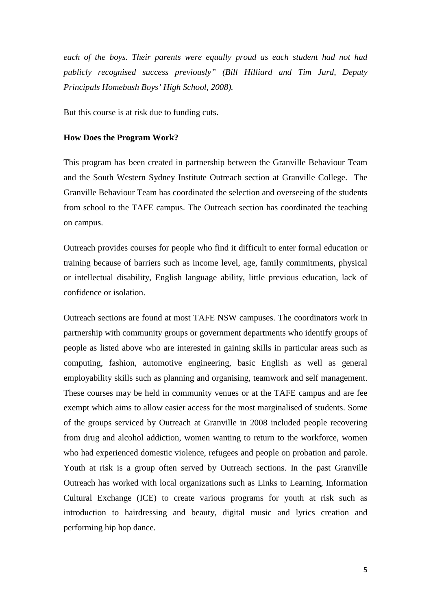each of the boys. Their parents were equally proud as each student had not had *publicly recognised success previously" (Bill Hilliard and Tim Jurd, Deputy Principals Homebush Boys' High School, 2008).* 

But this course is at risk due to funding cuts.

#### **How Does the Program Work?**

This program has been created in partnership between the Granville Behaviour Team and the South Western Sydney Institute Outreach section at Granville College. The Granville Behaviour Team has coordinated the selection and overseeing of the students from school to the TAFE campus. The Outreach section has coordinated the teaching on campus.

Outreach provides courses for people who find it difficult to enter formal education or training because of barriers such as income level, age, family commitments, physical or intellectual disability, English language ability, little previous education, lack of confidence or isolation.

Outreach sections are found at most TAFE NSW campuses. The coordinators work in partnership with community groups or government departments who identify groups of people as listed above who are interested in gaining skills in particular areas such as computing, fashion, automotive engineering, basic English as well as general employability skills such as planning and organising, teamwork and self management. These courses may be held in community venues or at the TAFE campus and are fee exempt which aims to allow easier access for the most marginalised of students. Some of the groups serviced by Outreach at Granville in 2008 included people recovering from drug and alcohol addiction, women wanting to return to the workforce, women who had experienced domestic violence, refugees and people on probation and parole. Youth at risk is a group often served by Outreach sections. In the past Granville Outreach has worked with local organizations such as Links to Learning, Information Cultural Exchange (ICE) to create various programs for youth at risk such as introduction to hairdressing and beauty, digital music and lyrics creation and performing hip hop dance.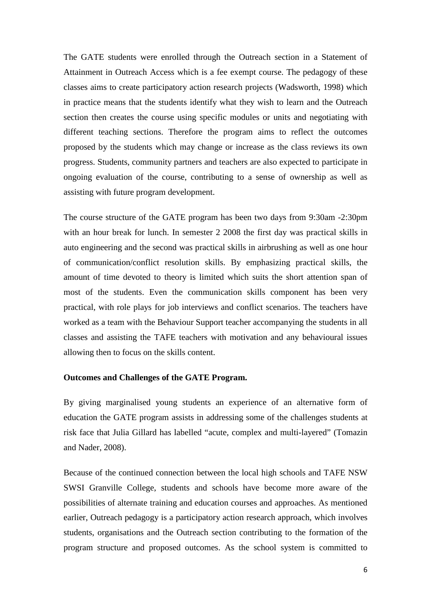The GATE students were enrolled through the Outreach section in a Statement of Attainment in Outreach Access which is a fee exempt course. The pedagogy of these classes aims to create participatory action research projects (Wadsworth, 1998) which in practice means that the students identify what they wish to learn and the Outreach section then creates the course using specific modules or units and negotiating with different teaching sections. Therefore the program aims to reflect the outcomes proposed by the students which may change or increase as the class reviews its own progress. Students, community partners and teachers are also expected to participate in ongoing evaluation of the course, contributing to a sense of ownership as well as assisting with future program development.

The course structure of the GATE program has been two days from 9:30am -2:30pm with an hour break for lunch. In semester 2 2008 the first day was practical skills in auto engineering and the second was practical skills in airbrushing as well as one hour of communication/conflict resolution skills. By emphasizing practical skills, the amount of time devoted to theory is limited which suits the short attention span of most of the students. Even the communication skills component has been very practical, with role plays for job interviews and conflict scenarios. The teachers have worked as a team with the Behaviour Support teacher accompanying the students in all classes and assisting the TAFE teachers with motivation and any behavioural issues allowing then to focus on the skills content.

# **Outcomes and Challenges of the GATE Program.**

By giving marginalised young students an experience of an alternative form of education the GATE program assists in addressing some of the challenges students at risk face that Julia Gillard has labelled "acute, complex and multi-layered" (Tomazin and Nader, 2008).

Because of the continued connection between the local high schools and TAFE NSW SWSI Granville College, students and schools have become more aware of the possibilities of alternate training and education courses and approaches. As mentioned earlier, Outreach pedagogy is a participatory action research approach, which involves students, organisations and the Outreach section contributing to the formation of the program structure and proposed outcomes. As the school system is committed to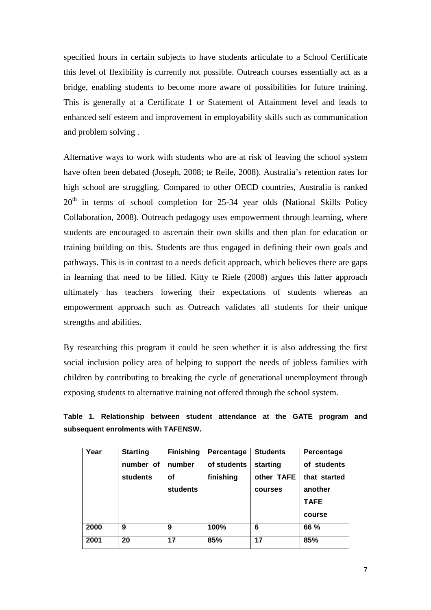specified hours in certain subjects to have students articulate to a School Certificate this level of flexibility is currently not possible. Outreach courses essentially act as a bridge, enabling students to become more aware of possibilities for future training. This is generally at a Certificate 1 or Statement of Attainment level and leads to enhanced self esteem and improvement in employability skills such as communication and problem solving .

Alternative ways to work with students who are at risk of leaving the school system have often been debated (Joseph, 2008; te Reile, 2008). Australia's retention rates for high school are struggling. Compared to other OECD countries, Australia is ranked  $20<sup>th</sup>$  in terms of school completion for 25-34 year olds (National Skills Policy Collaboration, 2008). Outreach pedagogy uses empowerment through learning, where students are encouraged to ascertain their own skills and then plan for education or training building on this. Students are thus engaged in defining their own goals and pathways. This is in contrast to a needs deficit approach, which believes there are gaps in learning that need to be filled. Kitty te Riele (2008) argues this latter approach ultimately has teachers lowering their expectations of students whereas an empowerment approach such as Outreach validates all students for their unique strengths and abilities.

By researching this program it could be seen whether it is also addressing the first social inclusion policy area of helping to support the needs of jobless families with children by contributing to breaking the cycle of generational unemployment through exposing students to alternative training not offered through the school system.

|                                     |  | Table 1. Relationship between student attendance at the GATE program and |  |  |  |  |  |
|-------------------------------------|--|--------------------------------------------------------------------------|--|--|--|--|--|
| subsequent enrolments with TAFENSW. |  |                                                                          |  |  |  |  |  |

| Year | <b>Starting</b> | <b>Finishing</b> | Percentage  | <b>Students</b> | Percentage   |
|------|-----------------|------------------|-------------|-----------------|--------------|
|      | number of       | number           | of students | starting        | of students  |
|      | students        | οf               | finishing   | other TAFE      | that started |
|      |                 | students         |             | courses         | another      |
|      |                 |                  |             |                 | <b>TAFE</b>  |
|      |                 |                  |             |                 | course       |
| 2000 | 9               | 9                | 100%        | 6               | 66 %         |
| 2001 | 20              | 17               | 85%         | 17              | 85%          |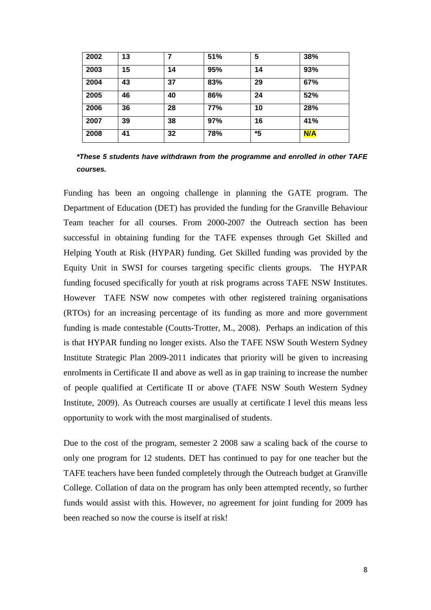| 2002 | 13 | 7  | 51% | 5  | 38% |
|------|----|----|-----|----|-----|
| 2003 | 15 | 14 | 95% | 14 | 93% |
| 2004 | 43 | 37 | 83% | 29 | 67% |
| 2005 | 46 | 40 | 86% | 24 | 52% |
| 2006 | 36 | 28 | 77% | 10 | 28% |
| 2007 | 39 | 38 | 97% | 16 | 41% |
| 2008 | 41 | 32 | 78% | *5 | N/A |

**\*These 5 students have withdrawn from the programme and enrolled in other TAFE courses.** 

Funding has been an ongoing challenge in planning the GATE program. The Department of Education (DET) has provided the funding for the Granville Behaviour Team teacher for all courses. From 2000-2007 the Outreach section has been successful in obtaining funding for the TAFE expenses through Get Skilled and Helping Youth at Risk (HYPAR) funding. Get Skilled funding was provided by the Equity Unit in SWSI for courses targeting specific clients groups. The HYPAR funding focused specifically for youth at risk programs across TAFE NSW Institutes. However TAFE NSW now competes with other registered training organisations (RTOs) for an increasing percentage of its funding as more and more government funding is made contestable (Coutts-Trotter, M., 2008). Perhaps an indication of this is that HYPAR funding no longer exists. Also the TAFE NSW South Western Sydney Institute Strategic Plan 2009-2011 indicates that priority will be given to increasing enrolments in Certificate II and above as well as in gap training to increase the number of people qualified at Certificate II or above (TAFE NSW South Western Sydney Institute, 2009). As Outreach courses are usually at certificate I level this means less opportunity to work with the most marginalised of students.

Due to the cost of the program, semester 2 2008 saw a scaling back of the course to only one program for 12 students. DET has continued to pay for one teacher but the TAFE teachers have been funded completely through the Outreach budget at Granville College. Collation of data on the program has only been attempted recently, so further funds would assist with this. However, no agreement for joint funding for 2009 has been reached so now the course is itself at risk!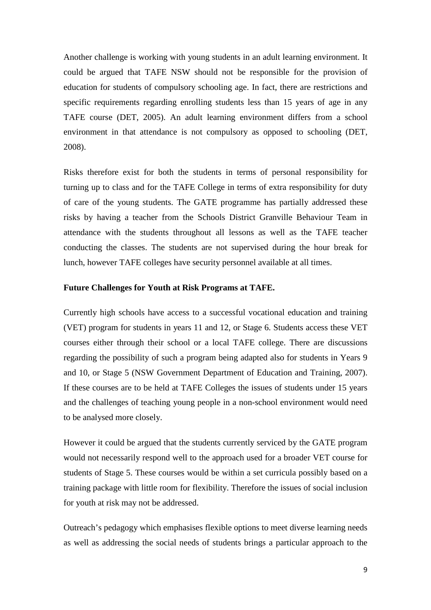Another challenge is working with young students in an adult learning environment. It could be argued that TAFE NSW should not be responsible for the provision of education for students of compulsory schooling age. In fact, there are restrictions and specific requirements regarding enrolling students less than 15 years of age in any TAFE course (DET, 2005). An adult learning environment differs from a school environment in that attendance is not compulsory as opposed to schooling (DET, 2008).

Risks therefore exist for both the students in terms of personal responsibility for turning up to class and for the TAFE College in terms of extra responsibility for duty of care of the young students. The GATE programme has partially addressed these risks by having a teacher from the Schools District Granville Behaviour Team in attendance with the students throughout all lessons as well as the TAFE teacher conducting the classes. The students are not supervised during the hour break for lunch, however TAFE colleges have security personnel available at all times.

# **Future Challenges for Youth at Risk Programs at TAFE.**

Currently high schools have access to a successful vocational education and training (VET) program for students in years 11 and 12, or Stage 6. Students access these VET courses either through their school or a local TAFE college. There are discussions regarding the possibility of such a program being adapted also for students in Years 9 and 10, or Stage 5 (NSW Government Department of Education and Training, 2007). If these courses are to be held at TAFE Colleges the issues of students under 15 years and the challenges of teaching young people in a non-school environment would need to be analysed more closely.

However it could be argued that the students currently serviced by the GATE program would not necessarily respond well to the approach used for a broader VET course for students of Stage 5. These courses would be within a set curricula possibly based on a training package with little room for flexibility. Therefore the issues of social inclusion for youth at risk may not be addressed.

Outreach's pedagogy which emphasises flexible options to meet diverse learning needs as well as addressing the social needs of students brings a particular approach to the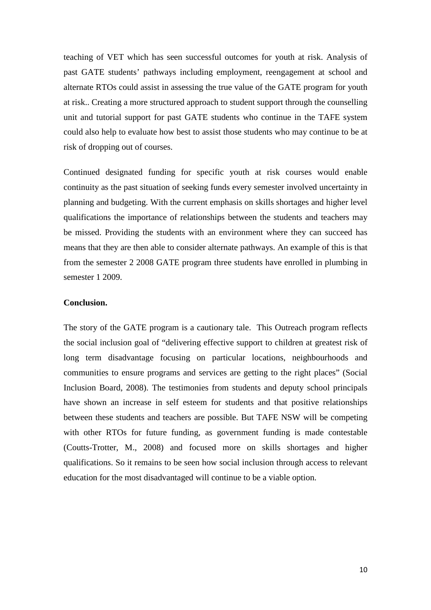teaching of VET which has seen successful outcomes for youth at risk. Analysis of past GATE students' pathways including employment, reengagement at school and alternate RTOs could assist in assessing the true value of the GATE program for youth at risk.. Creating a more structured approach to student support through the counselling unit and tutorial support for past GATE students who continue in the TAFE system could also help to evaluate how best to assist those students who may continue to be at risk of dropping out of courses.

Continued designated funding for specific youth at risk courses would enable continuity as the past situation of seeking funds every semester involved uncertainty in planning and budgeting. With the current emphasis on skills shortages and higher level qualifications the importance of relationships between the students and teachers may be missed. Providing the students with an environment where they can succeed has means that they are then able to consider alternate pathways. An example of this is that from the semester 2 2008 GATE program three students have enrolled in plumbing in semester 1 2009.

### **Conclusion.**

The story of the GATE program is a cautionary tale. This Outreach program reflects the social inclusion goal of "delivering effective support to children at greatest risk of long term disadvantage focusing on particular locations, neighbourhoods and communities to ensure programs and services are getting to the right places" (Social Inclusion Board, 2008). The testimonies from students and deputy school principals have shown an increase in self esteem for students and that positive relationships between these students and teachers are possible. But TAFE NSW will be competing with other RTOs for future funding, as government funding is made contestable (Coutts-Trotter, M., 2008) and focused more on skills shortages and higher qualifications. So it remains to be seen how social inclusion through access to relevant education for the most disadvantaged will continue to be a viable option.